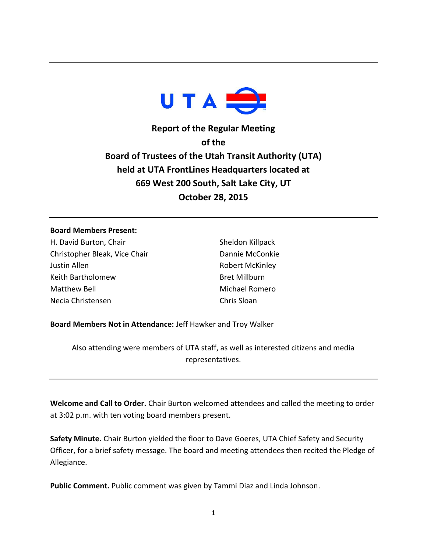

**Report of the Regular Meeting of the Board of Trustees of the Utah Transit Authority (UTA) held at UTA FrontLines Headquarters located at 669 West 200 South, Salt Lake City, UT October 28, 2015**

## **Board Members Present:**

H. David Burton, Chair Christopher Bleak, Vice Chair Justin Allen Keith Bartholomew Matthew Bell Necia Christensen

Sheldon Killpack Dannie McConkie Robert McKinley Bret Millburn Michael Romero Chris Sloan

**Board Members Not in Attendance:** Jeff Hawker and Troy Walker

Also attending were members of UTA staff, as well as interested citizens and media representatives.

**Welcome and Call to Order.** Chair Burton welcomed attendees and called the meeting to order at 3:02 p.m. with ten voting board members present.

**Safety Minute.** Chair Burton yielded the floor to Dave Goeres, UTA Chief Safety and Security Officer, for a brief safety message. The board and meeting attendees then recited the Pledge of Allegiance.

**Public Comment.** Public comment was given by Tammi Diaz and Linda Johnson.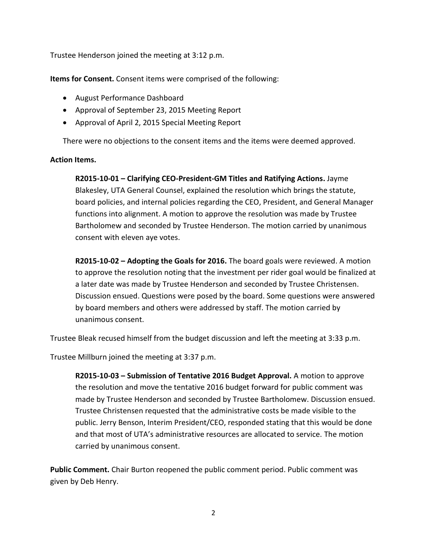Trustee Henderson joined the meeting at 3:12 p.m.

**Items for Consent.** Consent items were comprised of the following:

- August Performance Dashboard
- Approval of September 23, 2015 Meeting Report
- Approval of April 2, 2015 Special Meeting Report

There were no objections to the consent items and the items were deemed approved.

## **Action Items.**

**R2015-10-01 – Clarifying CEO-President-GM Titles and Ratifying Actions.** Jayme Blakesley, UTA General Counsel, explained the resolution which brings the statute, board policies, and internal policies regarding the CEO, President, and General Manager functions into alignment. A motion to approve the resolution was made by Trustee Bartholomew and seconded by Trustee Henderson. The motion carried by unanimous consent with eleven aye votes.

**R2015-10-02 – Adopting the Goals for 2016.** The board goals were reviewed. A motion to approve the resolution noting that the investment per rider goal would be finalized at a later date was made by Trustee Henderson and seconded by Trustee Christensen. Discussion ensued. Questions were posed by the board. Some questions were answered by board members and others were addressed by staff. The motion carried by unanimous consent.

Trustee Bleak recused himself from the budget discussion and left the meeting at 3:33 p.m.

Trustee Millburn joined the meeting at 3:37 p.m.

**R2015-10-03 – Submission of Tentative 2016 Budget Approval.** A motion to approve the resolution and move the tentative 2016 budget forward for public comment was made by Trustee Henderson and seconded by Trustee Bartholomew. Discussion ensued. Trustee Christensen requested that the administrative costs be made visible to the public. Jerry Benson, Interim President/CEO, responded stating that this would be done and that most of UTA's administrative resources are allocated to service. The motion carried by unanimous consent.

**Public Comment.** Chair Burton reopened the public comment period. Public comment was given by Deb Henry.